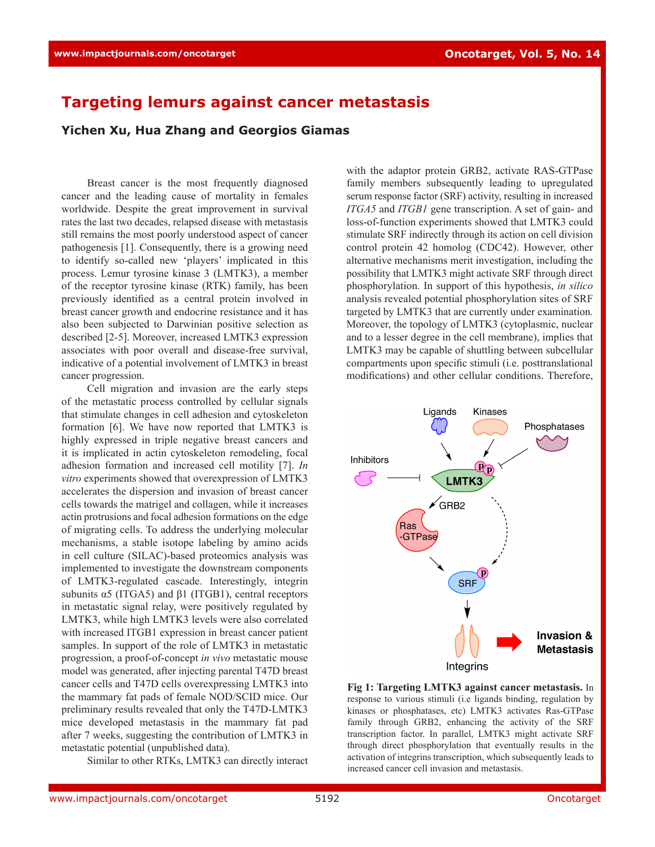## **Targeting lemurs against cancer metastasis**

**Yichen Xu, Hua Zhang and Georgios Giamas**

Breast cancer is the most frequently diagnosed cancer and the leading cause of mortality in females worldwide. Despite the great improvement in survival rates the last two decades, relapsed disease with metastasis still remains the most poorly understood aspect of cancer pathogenesis [1]. Consequently, there is a growing need to identify so-called new 'players' implicated in this process. Lemur tyrosine kinase 3 (LMTK3), a member of the receptor tyrosine kinase (RTK) family, has been previously identified as a central protein involved in breast cancer growth and endocrine resistance and it has also been subjected to Darwinian positive selection as described [2-5]. Moreover, increased LMTK3 expression associates with poor overall and disease-free survival, indicative of a potential involvement of LMTK3 in breast cancer progression.

Cell migration and invasion are the early steps of the metastatic process controlled by cellular signals that stimulate changes in cell adhesion and cytoskeleton formation [6]. We have now reported that LMTK3 is highly expressed in triple negative breast cancers and it is implicated in actin cytoskeleton remodeling, focal adhesion formation and increased cell motility [7]. *In vitro* experiments showed that overexpression of LMTK3 accelerates the dispersion and invasion of breast cancer cells towards the matrigel and collagen, while it increases actin protrusions and focal adhesion formations on the edge of migrating cells. To address the underlying molecular mechanisms, a stable isotope labeling by amino acids in cell culture (SILAC)-based proteomics analysis was implemented to investigate the downstream components of LMTK3-regulated cascade. Interestingly, integrin subunits  $\alpha$ 5 (ITGA5) and  $\beta$ 1 (ITGB1), central receptors in metastatic signal relay, were positively regulated by LMTK3, while high LMTK3 levels were also correlated with increased ITGB1 expression in breast cancer patient samples. In support of the role of LMTK3 in metastatic progression, a proof-of-concept *in vivo* metastatic mouse model was generated, after injecting parental T47D breast cancer cells and T47D cells overexpressing LMTK3 into the mammary fat pads of female NOD/SCID mice. Our preliminary results revealed that only the T47D-LMTK3 mice developed metastasis in the mammary fat pad after 7 weeks, suggesting the contribution of LMTK3 in metastatic potential (unpublished data).

Similar to other RTKs, LMTK3 can directly interact

with the adaptor protein GRB2, activate RAS-GTPase family members subsequently leading to upregulated serum response factor (SRF) activity, resulting in increased *ITGA5* and *ITGB1* gene transcription. A set of gain- and loss-of-function experiments showed that LMTK3 could stimulate SRF indirectly through its action on cell division control protein 42 homolog (CDC42). However, other alternative mechanisms merit investigation, including the possibility that LMTK3 might activate SRF through direct phosphorylation. In support of this hypothesis, *in silico* analysis revealed potential phosphorylation sites of SRF targeted by LMTK3 that are currently under examination. Moreover, the topology of LMTK3 (cytoplasmic, nuclear and to a lesser degree in the cell membrane), implies that LMTK3 may be capable of shuttling between subcellular compartments upon specific stimuli (i.e. posttranslational modifications) and other cellular conditions. Therefore,



**Fig 1: Targeting LMTK3 against cancer metastasis.** In response to various stimuli (i.e ligands binding, regulation by kinases or phosphatases, etc) LMTK3 activates Ras-GTPase family through GRB2, enhancing the activity of the SRF transcription factor. In parallel, LMTK3 might activate SRF through direct phosphorylation that eventually results in the activation of integrins transcription, which subsequently leads to increased cancer cell invasion and metastasis.